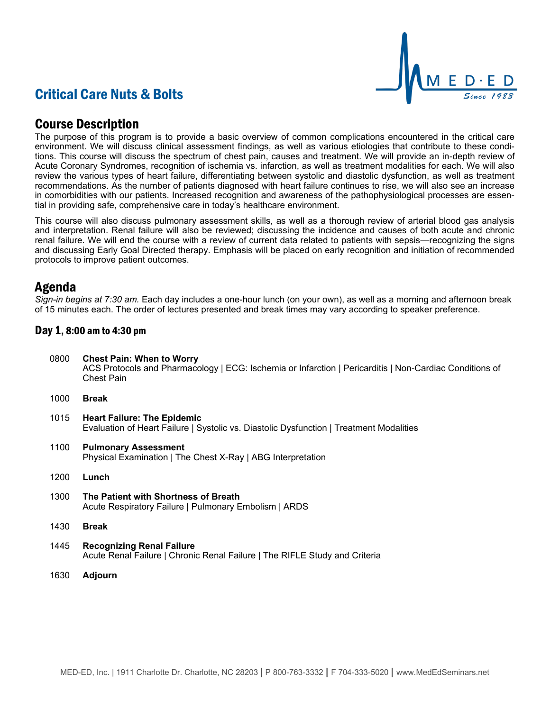# Critical Care Nuts & Bolts



### Course Description

The purpose of this program is to provide a basic overview of common complications encountered in the critical care environment. We will discuss clinical assessment findings, as well as various etiologies that contribute to these conditions. This course will discuss the spectrum of chest pain, causes and treatment. We will provide an in-depth review of Acute Coronary Syndromes, recognition of ischemia vs. infarction, as well as treatment modalities for each. We will also review the various types of heart failure, differentiating between systolic and diastolic dysfunction, as well as treatment recommendations. As the number of patients diagnosed with heart failure continues to rise, we will also see an increase in comorbidities with our patients. Increased recognition and awareness of the pathophysiological processes are essential in providing safe, comprehensive care in today's healthcare environment.

This course will also discuss pulmonary assessment skills, as well as a thorough review of arterial blood gas analysis and interpretation. Renal failure will also be reviewed; discussing the incidence and causes of both acute and chronic renal failure. We will end the course with a review of current data related to patients with sepsis—recognizing the signs and discussing Early Goal Directed therapy. Emphasis will be placed on early recognition and initiation of recommended protocols to improve patient outcomes.

### Agenda

*Sign-in begins at 7:30 am.* Each day includes a one-hour lunch (on your own), as well as a morning and afternoon break of 15 minutes each. The order of lectures presented and break times may vary according to speaker preference.

#### Day 1, 8:00 am to 4:30 pm

- 0800 **Chest Pain: When to Worry** ACS Protocols and Pharmacology | ECG: Ischemia or Infarction | Pericarditis | Non-Cardiac Conditions of Chest Pain
- 1000 **Break**
- 1015 **Heart Failure: The Epidemic** Evaluation of Heart Failure | Systolic vs. Diastolic Dysfunction | Treatment Modalities
- 1100 **Pulmonary Assessment** Physical Examination | The Chest X-Ray | ABG Interpretation
- 1200 **Lunch**
- 1300 **The Patient with Shortness of Breath** Acute Respiratory Failure | Pulmonary Embolism | ARDS
- 1430 **Break**
- 1445 **Recognizing Renal Failure** Acute Renal Failure | Chronic Renal Failure | The RIFLE Study and Criteria
- 1630 **Adjourn**